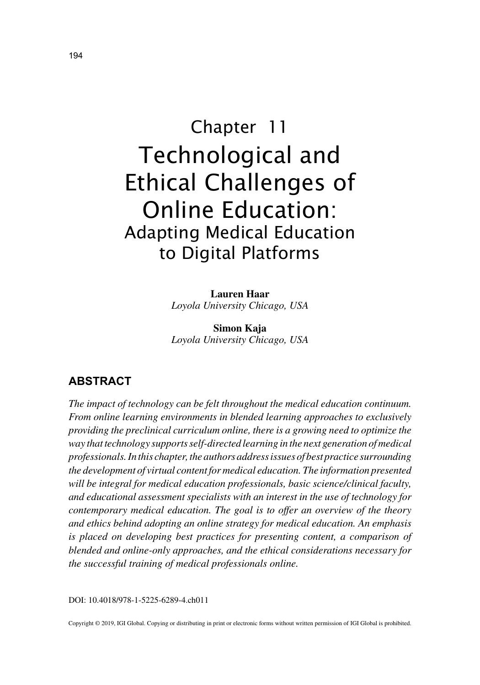# Chapter 11 Technological and Ethical Challenges of Online Education: Adapting Medical Education to Digital Platforms

**Lauren Haar** *Loyola University Chicago, USA*

**Simon Kaja** *Loyola University Chicago, USA*

# **ABSTRACT**

*The impact of technology can be felt throughout the medical education continuum. From online learning environments in blended learning approaches to exclusively providing the preclinical curriculum online, there is a growing need to optimize the way that technology supports self-directed learning in the next generation of medical professionals. In this chapter, the authors address issues of best practice surrounding the development of virtual content for medical education. The information presented will be integral for medical education professionals, basic science/clinical faculty, and educational assessment specialists with an interest in the use of technology for contemporary medical education. The goal is to offer an overview of the theory and ethics behind adopting an online strategy for medical education. An emphasis is placed on developing best practices for presenting content, a comparison of blended and online-only approaches, and the ethical considerations necessary for the successful training of medical professionals online.*

DOI: 10.4018/978-1-5225-6289-4.ch011

Copyright © 2019, IGI Global. Copying or distributing in print or electronic forms without written permission of IGI Global is prohibited.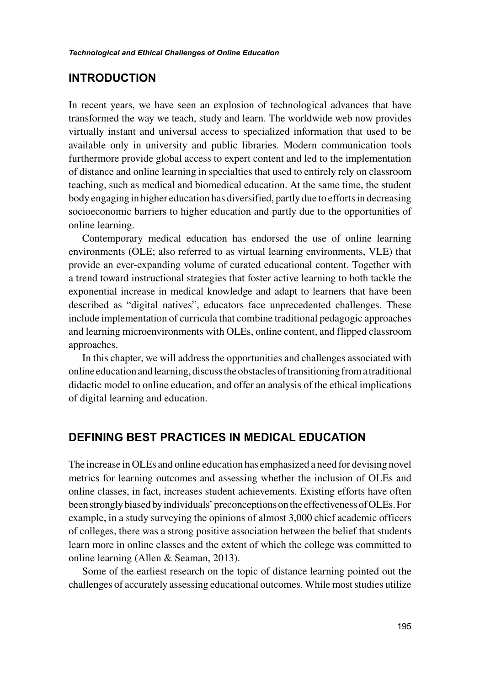#### **INTRODUCTION**

In recent years, we have seen an explosion of technological advances that have transformed the way we teach, study and learn. The worldwide web now provides virtually instant and universal access to specialized information that used to be available only in university and public libraries. Modern communication tools furthermore provide global access to expert content and led to the implementation of distance and online learning in specialties that used to entirely rely on classroom teaching, such as medical and biomedical education. At the same time, the student body engaging in higher education has diversified, partly due to efforts in decreasing socioeconomic barriers to higher education and partly due to the opportunities of online learning.

Contemporary medical education has endorsed the use of online learning environments (OLE; also referred to as virtual learning environments, VLE) that provide an ever-expanding volume of curated educational content. Together with a trend toward instructional strategies that foster active learning to both tackle the exponential increase in medical knowledge and adapt to learners that have been described as "digital natives", educators face unprecedented challenges. These include implementation of curricula that combine traditional pedagogic approaches and learning microenvironments with OLEs, online content, and flipped classroom approaches.

In this chapter, we will address the opportunities and challenges associated with online education and learning, discuss the obstacles of transitioning from a traditional didactic model to online education, and offer an analysis of the ethical implications of digital learning and education.

#### **DEFINING BEST PRACTICES IN MEDICAL EDUCATION**

The increase in OLEs and online education has emphasized a need for devising novel metrics for learning outcomes and assessing whether the inclusion of OLEs and online classes, in fact, increases student achievements. Existing efforts have often been strongly biased by individuals' preconceptions on the effectiveness of OLEs. For example, in a study surveying the opinions of almost 3,000 chief academic officers of colleges, there was a strong positive association between the belief that students learn more in online classes and the extent of which the college was committed to online learning (Allen & Seaman, 2013).

Some of the earliest research on the topic of distance learning pointed out the challenges of accurately assessing educational outcomes. While most studies utilize